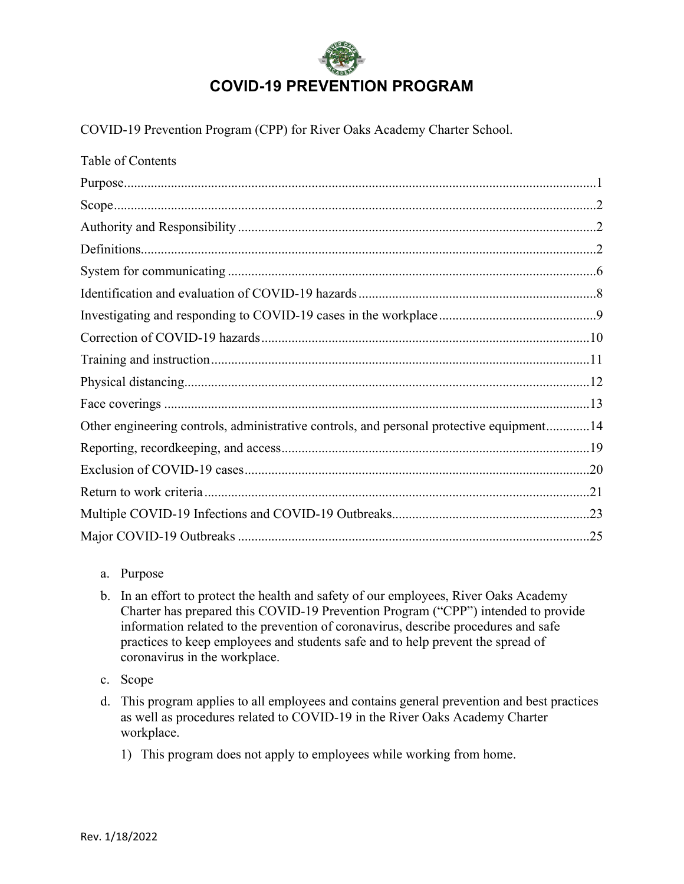

COVID-19 Prevention Program (CPP) for River Oaks Academy Charter School.

| Table of Contents                                                                        |
|------------------------------------------------------------------------------------------|
|                                                                                          |
|                                                                                          |
|                                                                                          |
|                                                                                          |
|                                                                                          |
|                                                                                          |
|                                                                                          |
|                                                                                          |
|                                                                                          |
|                                                                                          |
|                                                                                          |
| Other engineering controls, administrative controls, and personal protective equipment14 |
|                                                                                          |
|                                                                                          |
|                                                                                          |
|                                                                                          |
|                                                                                          |

## a. Purpose

b. In an effort to protect the health and safety of our employees, River Oaks Academy Charter has prepared this COVID-19 Prevention Program ("CPP") intended to provide information related to the prevention of coronavirus, describe procedures and safe practices to keep employees and students safe and to help prevent the spread of coronavirus in the workplace.

c. Scope

- d. This program applies to all employees and contains general prevention and best practices as well as procedures related to COVID-19 in the River Oaks Academy Charter workplace.
	- 1) This program does not apply to employees while working from home.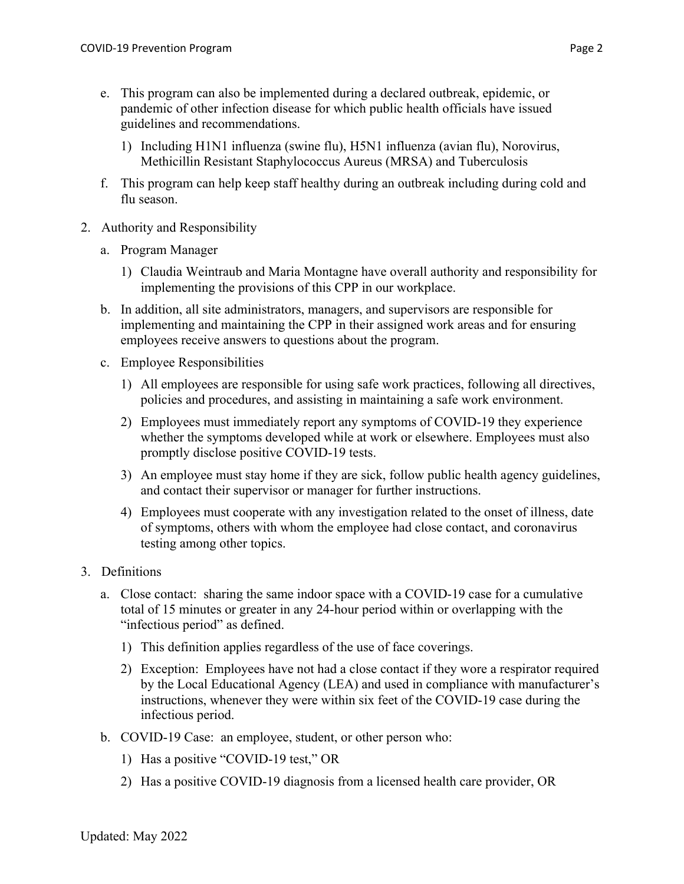- e. This program can also be implemented during a declared outbreak, epidemic, or pandemic of other infection disease for which public health officials have issued guidelines and recommendations.
	- 1) Including H1N1 influenza (swine flu), H5N1 influenza (avian flu), Norovirus, Methicillin Resistant Staphylococcus Aureus (MRSA) and Tuberculosis
- f. This program can help keep staff healthy during an outbreak including during cold and flu season.
- 2. Authority and Responsibility
	- a. Program Manager
		- 1) Claudia Weintraub and Maria Montagne have overall authority and responsibility for implementing the provisions of this CPP in our workplace.
	- b. In addition, all site administrators, managers, and supervisors are responsible for implementing and maintaining the CPP in their assigned work areas and for ensuring employees receive answers to questions about the program.
	- c. Employee Responsibilities
		- 1) All employees are responsible for using safe work practices, following all directives, policies and procedures, and assisting in maintaining a safe work environment.
		- 2) Employees must immediately report any symptoms of COVID-19 they experience whether the symptoms developed while at work or elsewhere. Employees must also promptly disclose positive COVID-19 tests.
		- 3) An employee must stay home if they are sick, follow public health agency guidelines, and contact their supervisor or manager for further instructions.
		- 4) Employees must cooperate with any investigation related to the onset of illness, date of symptoms, others with whom the employee had close contact, and coronavirus testing among other topics.
- 3. Definitions
	- a. Close contact: sharing the same indoor space with a COVID-19 case for a cumulative total of 15 minutes or greater in any 24-hour period within or overlapping with the "infectious period" as defined.
		- 1) This definition applies regardless of the use of face coverings.
		- 2) Exception: Employees have not had a close contact if they wore a respirator required by the Local Educational Agency (LEA) and used in compliance with manufacturer's instructions, whenever they were within six feet of the COVID-19 case during the infectious period.
	- b. COVID-19 Case: an employee, student, or other person who:
		- 1) Has a positive "COVID-19 test," OR
		- 2) Has a positive COVID-19 diagnosis from a licensed health care provider, OR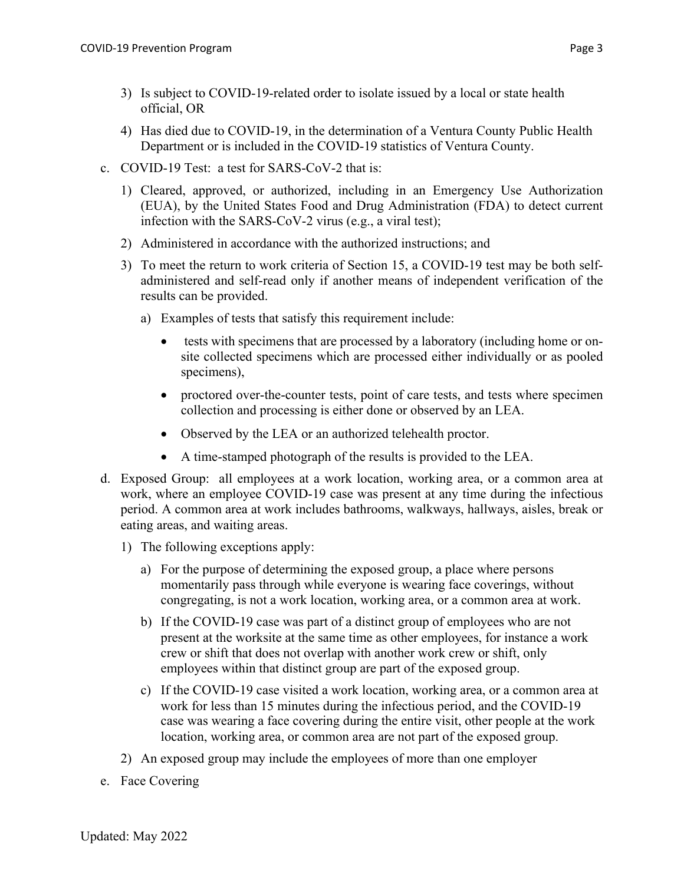- 3) Is subject to COVID-19-related order to isolate issued by a local or state health official, OR
- 4) Has died due to COVID-19, in the determination of a Ventura County Public Health Department or is included in the COVID-19 statistics of Ventura County.
- c. COVID-19 Test: a test for SARS-CoV-2 that is:
	- 1) Cleared, approved, or authorized, including in an Emergency Use Authorization (EUA), by the United States Food and Drug Administration (FDA) to detect current infection with the SARS-CoV-2 virus (e.g., a viral test);
	- 2) Administered in accordance with the authorized instructions; and
	- 3) To meet the return to work criteria of Section 15, a COVID-19 test may be both selfadministered and self-read only if another means of independent verification of the results can be provided.
		- a) Examples of tests that satisfy this requirement include:
			- tests with specimens that are processed by a laboratory (including home or onsite collected specimens which are processed either individually or as pooled specimens),
			- proctored over-the-counter tests, point of care tests, and tests where specimen collection and processing is either done or observed by an LEA.
			- Observed by the LEA or an authorized telehealth proctor.
			- A time-stamped photograph of the results is provided to the LEA.
- d. Exposed Group: all employees at a work location, working area, or a common area at work, where an employee COVID-19 case was present at any time during the infectious period. A common area at work includes bathrooms, walkways, hallways, aisles, break or eating areas, and waiting areas.
	- 1) The following exceptions apply:
		- a) For the purpose of determining the exposed group, a place where persons momentarily pass through while everyone is wearing face coverings, without congregating, is not a work location, working area, or a common area at work.
		- b) If the COVID-19 case was part of a distinct group of employees who are not present at the worksite at the same time as other employees, for instance a work crew or shift that does not overlap with another work crew or shift, only employees within that distinct group are part of the exposed group.
		- c) If the COVID-19 case visited a work location, working area, or a common area at work for less than 15 minutes during the infectious period, and the COVID-19 case was wearing a face covering during the entire visit, other people at the work location, working area, or common area are not part of the exposed group.
	- 2) An exposed group may include the employees of more than one employer
- e. Face Covering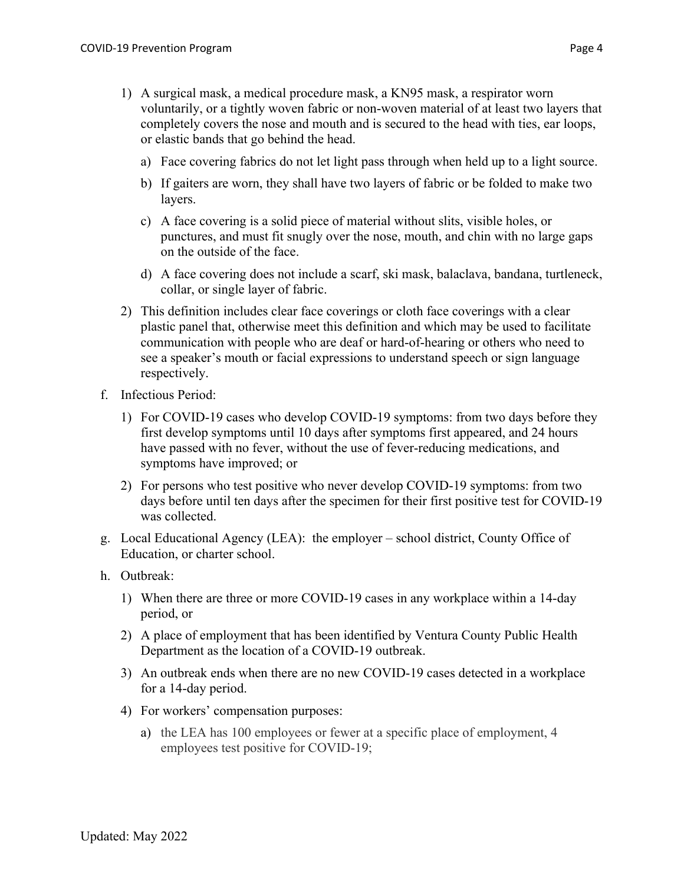- 1) A surgical mask, a medical procedure mask, a KN95 mask, a respirator worn voluntarily, or a tightly woven fabric or non-woven material of at least two layers that completely covers the nose and mouth and is secured to the head with ties, ear loops, or elastic bands that go behind the head.
	- a) Face covering fabrics do not let light pass through when held up to a light source.
	- b) If gaiters are worn, they shall have two layers of fabric or be folded to make two layers.
	- c) A face covering is a solid piece of material without slits, visible holes, or punctures, and must fit snugly over the nose, mouth, and chin with no large gaps on the outside of the face.
	- d) A face covering does not include a scarf, ski mask, balaclava, bandana, turtleneck, collar, or single layer of fabric.
- 2) This definition includes clear face coverings or cloth face coverings with a clear plastic panel that, otherwise meet this definition and which may be used to facilitate communication with people who are deaf or hard-of-hearing or others who need to see a speaker's mouth or facial expressions to understand speech or sign language respectively.
- f. Infectious Period:
	- 1) For COVID-19 cases who develop COVID-19 symptoms: from two days before they first develop symptoms until 10 days after symptoms first appeared, and 24 hours have passed with no fever, without the use of fever-reducing medications, and symptoms have improved; or
	- 2) For persons who test positive who never develop COVID-19 symptoms: from two days before until ten days after the specimen for their first positive test for COVID-19 was collected.
- g. Local Educational Agency (LEA): the employer school district, County Office of Education, or charter school.
- h. Outbreak:
	- 1) When there are three or more COVID-19 cases in any workplace within a 14-day period, or
	- 2) A place of employment that has been identified by Ventura County Public Health Department as the location of a COVID-19 outbreak.
	- 3) An outbreak ends when there are no new COVID-19 cases detected in a workplace for a 14-day period.
	- 4) For workers' compensation purposes:
		- a) the LEA has 100 employees or fewer at a specific place of employment, 4 employees test positive for COVID-19;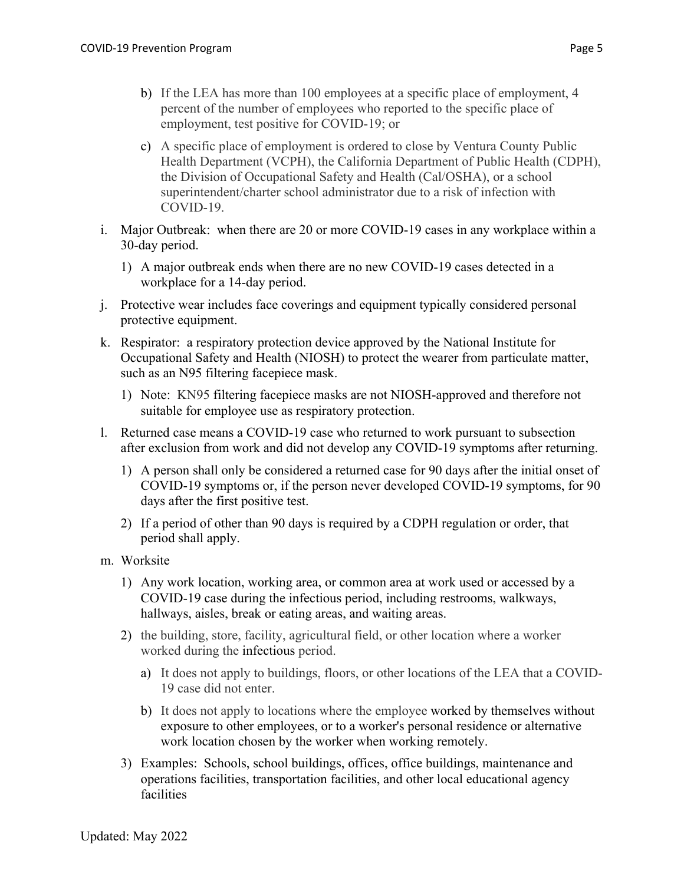- b) If the LEA has more than 100 employees at a specific place of employment, 4 percent of the number of employees who reported to the specific place of employment, test positive for COVID-19; or
- c) A specific place of employment is ordered to close by Ventura County Public Health Department (VCPH), the California Department of Public Health (CDPH), the Division of Occupational Safety and Health (Cal/OSHA), or a school superintendent/charter school administrator due to a risk of infection with COVID-19.
- i. Major Outbreak: when there are 20 or more COVID-19 cases in any workplace within a 30-day period.
	- 1) A major outbreak ends when there are no new COVID-19 cases detected in a workplace for a 14-day period.
- j. Protective wear includes face coverings and equipment typically considered personal protective equipment.
- k. Respirator: a respiratory protection device approved by the National Institute for Occupational Safety and Health (NIOSH) to protect the wearer from particulate matter, such as an N95 filtering facepiece mask.
	- 1) Note: KN95 filtering facepiece masks are not NIOSH-approved and therefore not suitable for employee use as respiratory protection.
- l. Returned case means a COVID-19 case who returned to work pursuant to subsection after exclusion from work and did not develop any COVID-19 symptoms after returning.
	- 1) A person shall only be considered a returned case for 90 days after the initial onset of COVID-19 symptoms or, if the person never developed COVID-19 symptoms, for 90 days after the first positive test.
	- 2) If a period of other than 90 days is required by a CDPH regulation or order, that period shall apply.
- m. Worksite
	- 1) Any work location, working area, or common area at work used or accessed by a COVID-19 case during the infectious period, including restrooms, walkways, hallways, aisles, break or eating areas, and waiting areas.
	- 2) the building, store, facility, agricultural field, or other location where a worker worked during the infectious period.
		- a) It does not apply to buildings, floors, or other locations of the LEA that a COVID-19 case did not enter.
		- b) It does not apply to locations where the employee worked by themselves without exposure to other employees, or to a worker's personal residence or alternative work location chosen by the worker when working remotely.
	- 3) Examples: Schools, school buildings, offices, office buildings, maintenance and operations facilities, transportation facilities, and other local educational agency facilities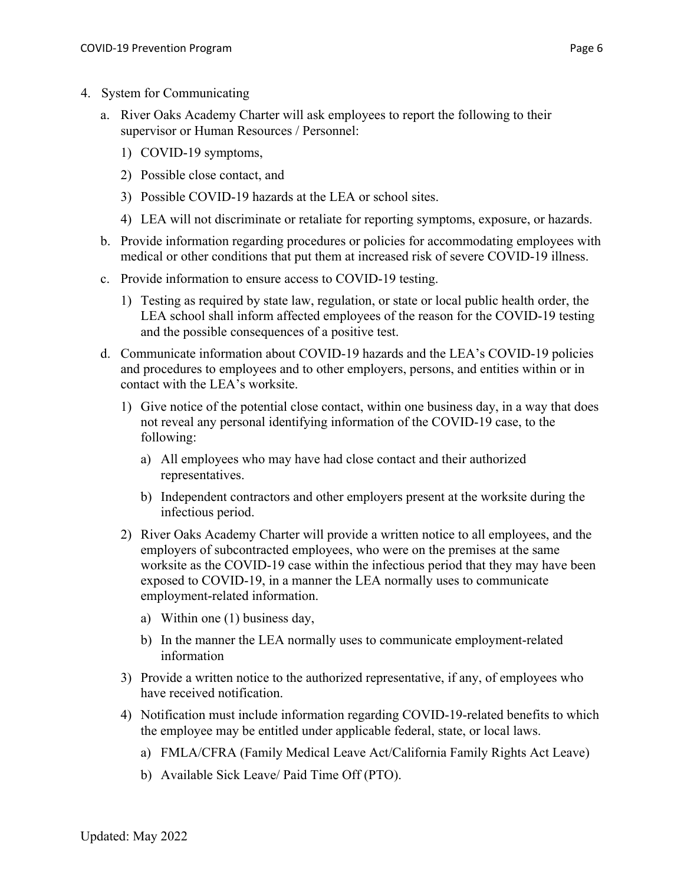- 4. System for Communicating
	- a. River Oaks Academy Charter will ask employees to report the following to their supervisor or Human Resources / Personnel:
		- 1) COVID-19 symptoms,
		- 2) Possible close contact, and
		- 3) Possible COVID-19 hazards at the LEA or school sites.
		- 4) LEA will not discriminate or retaliate for reporting symptoms, exposure, or hazards.
	- b. Provide information regarding procedures or policies for accommodating employees with medical or other conditions that put them at increased risk of severe COVID-19 illness.
	- c. Provide information to ensure access to COVID-19 testing.
		- 1) Testing as required by state law, regulation, or state or local public health order, the LEA school shall inform affected employees of the reason for the COVID-19 testing and the possible consequences of a positive test.
	- d. Communicate information about COVID-19 hazards and the LEA's COVID-19 policies and procedures to employees and to other employers, persons, and entities within or in contact with the LEA's worksite.
		- 1) Give notice of the potential close contact, within one business day, in a way that does not reveal any personal identifying information of the COVID-19 case, to the following:
			- a) All employees who may have had close contact and their authorized representatives.
			- b) Independent contractors and other employers present at the worksite during the infectious period.
		- 2) River Oaks Academy Charter will provide a written notice to all employees, and the employers of subcontracted employees, who were on the premises at the same worksite as the COVID-19 case within the infectious period that they may have been exposed to COVID-19, in a manner the LEA normally uses to communicate employment-related information.
			- a) Within one (1) business day,
			- b) In the manner the LEA normally uses to communicate employment-related information
		- 3) Provide a written notice to the authorized representative, if any, of employees who have received notification.
		- 4) Notification must include information regarding COVID-19-related benefits to which the employee may be entitled under applicable federal, state, or local laws.
			- a) FMLA/CFRA (Family Medical Leave Act/California Family Rights Act Leave)
			- b) Available Sick Leave/ Paid Time Off (PTO).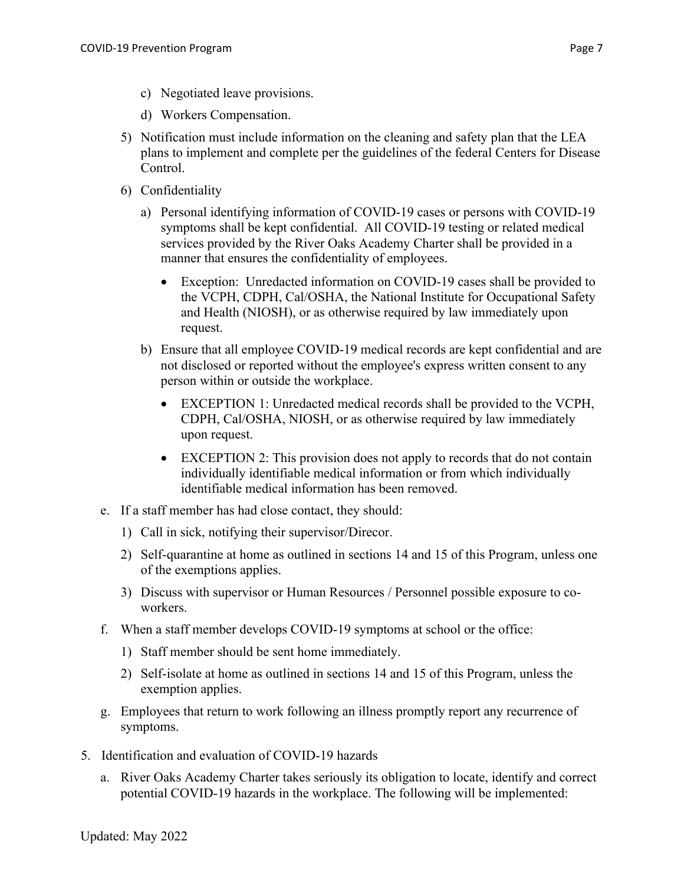- c) Negotiated leave provisions.
- d) Workers Compensation.
- 5) Notification must include information on the cleaning and safety plan that the LEA plans to implement and complete per the guidelines of the federal Centers for Disease Control.
- 6) Confidentiality
	- a) Personal identifying information of COVID-19 cases or persons with COVID-19 symptoms shall be kept confidential. All COVID-19 testing or related medical services provided by the River Oaks Academy Charter shall be provided in a manner that ensures the confidentiality of employees.
		- Exception: Unredacted information on COVID-19 cases shall be provided to the VCPH, CDPH, Cal/OSHA, the National Institute for Occupational Safety and Health (NIOSH), or as otherwise required by law immediately upon request.
	- b) Ensure that all employee COVID-19 medical records are kept confidential and are not disclosed or reported without the employee's express written consent to any person within or outside the workplace.
		- EXCEPTION 1: Unredacted medical records shall be provided to the VCPH, CDPH, Cal/OSHA, NIOSH, or as otherwise required by law immediately upon request.
		- EXCEPTION 2: This provision does not apply to records that do not contain individually identifiable medical information or from which individually identifiable medical information has been removed.
- e. If a staff member has had close contact, they should:
	- 1) Call in sick, notifying their supervisor/Direcor.
	- 2) Self-quarantine at home as outlined in sections 14 and 15 of this Program, unless one of the exemptions applies.
	- 3) Discuss with supervisor or Human Resources / Personnel possible exposure to coworkers.
- f. When a staff member develops COVID-19 symptoms at school or the office:
	- 1) Staff member should be sent home immediately.
	- 2) Self-isolate at home as outlined in sections 14 and 15 of this Program, unless the exemption applies.
- g. Employees that return to work following an illness promptly report any recurrence of symptoms.
- 5. Identification and evaluation of COVID-19 hazards
	- a. River Oaks Academy Charter takes seriously its obligation to locate, identify and correct potential COVID-19 hazards in the workplace. The following will be implemented: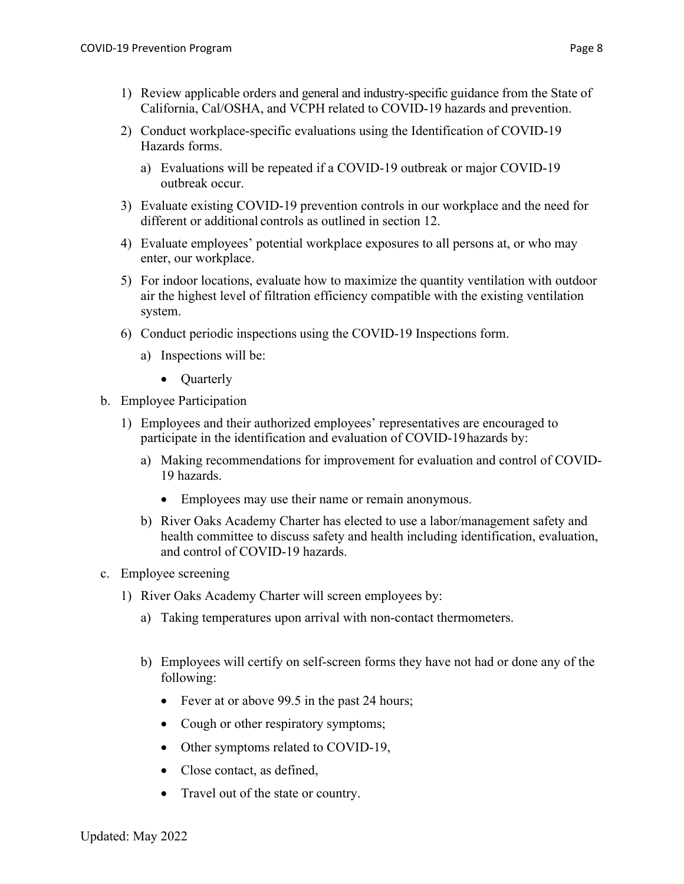- 2) Conduct workplace-specific evaluations using the Identification of COVID-19 Hazards forms.
	- a) Evaluations will be repeated if a COVID-19 outbreak or major COVID-19 outbreak occur.
- 3) Evaluate existing COVID-19 prevention controls in our workplace and the need for different or additional controls as outlined in section 12.
- 4) Evaluate employees' potential workplace exposures to all persons at, or who may enter, our workplace.
- 5) For indoor locations, evaluate how to maximize the quantity ventilation with outdoor air the highest level of filtration efficiency compatible with the existing ventilation system.
- 6) Conduct periodic inspections using the COVID-19 Inspections form.
	- a) Inspections will be:
		- Quarterly
- b. Employee Participation
	- 1) Employees and their authorized employees' representatives are encouraged to participate in the identification and evaluation of COVID-19hazards by:
		- a) Making recommendations for improvement for evaluation and control of COVID-19 hazards.
			- Employees may use their name or remain anonymous.
		- b) River Oaks Academy Charter has elected to use a labor/management safety and health committee to discuss safety and health including identification, evaluation, and control of COVID-19 hazards.
- c. Employee screening
	- 1) River Oaks Academy Charter will screen employees by:
		- a) Taking temperatures upon arrival with non-contact thermometers.
		- b) Employees will certify on self-screen forms they have not had or done any of the following:
			- Fever at or above 99.5 in the past 24 hours;
			- Cough or other respiratory symptoms;
			- Other symptoms related to COVID-19,
			- Close contact, as defined,
			- Travel out of the state or country.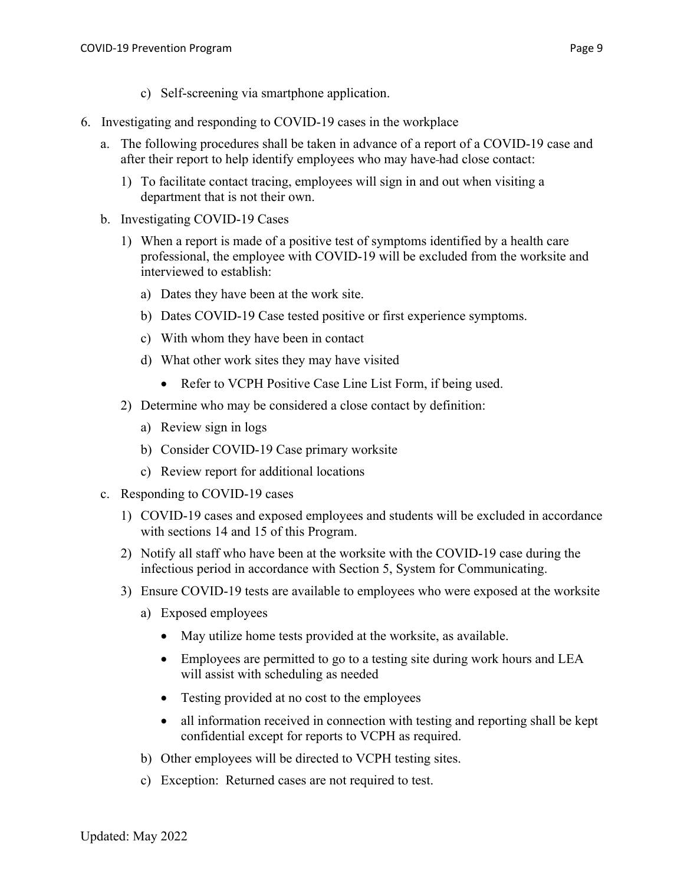- c) Self-screening via smartphone application.
- 6. Investigating and responding to COVID-19 cases in the workplace
	- a. The following procedures shall be taken in advance of a report of a COVID-19 case and after their report to help identify employees who may have had close contact:
		- 1) To facilitate contact tracing, employees will sign in and out when visiting a department that is not their own.
	- b. Investigating COVID-19 Cases
		- 1) When a report is made of a positive test of symptoms identified by a health care professional, the employee with COVID-19 will be excluded from the worksite and interviewed to establish:
			- a) Dates they have been at the work site.
			- b) Dates COVID-19 Case tested positive or first experience symptoms.
			- c) With whom they have been in contact
			- d) What other work sites they may have visited
				- Refer to VCPH Positive Case Line List Form, if being used.
		- 2) Determine who may be considered a close contact by definition:
			- a) Review sign in logs
			- b) Consider COVID-19 Case primary worksite
			- c) Review report for additional locations
	- c. Responding to COVID-19 cases
		- 1) COVID-19 cases and exposed employees and students will be excluded in accordance with sections 14 and 15 of this Program.
		- 2) Notify all staff who have been at the worksite with the COVID-19 case during the infectious period in accordance with Section 5, System for Communicating.
		- 3) Ensure COVID-19 tests are available to employees who were exposed at the worksite
			- a) Exposed employees
				- May utilize home tests provided at the worksite, as available.
				- Employees are permitted to go to a testing site during work hours and LEA will assist with scheduling as needed
				- Testing provided at no cost to the employees
				- all information received in connection with testing and reporting shall be kept confidential except for reports to VCPH as required.
			- b) Other employees will be directed to VCPH testing sites.
			- c) Exception: Returned cases are not required to test.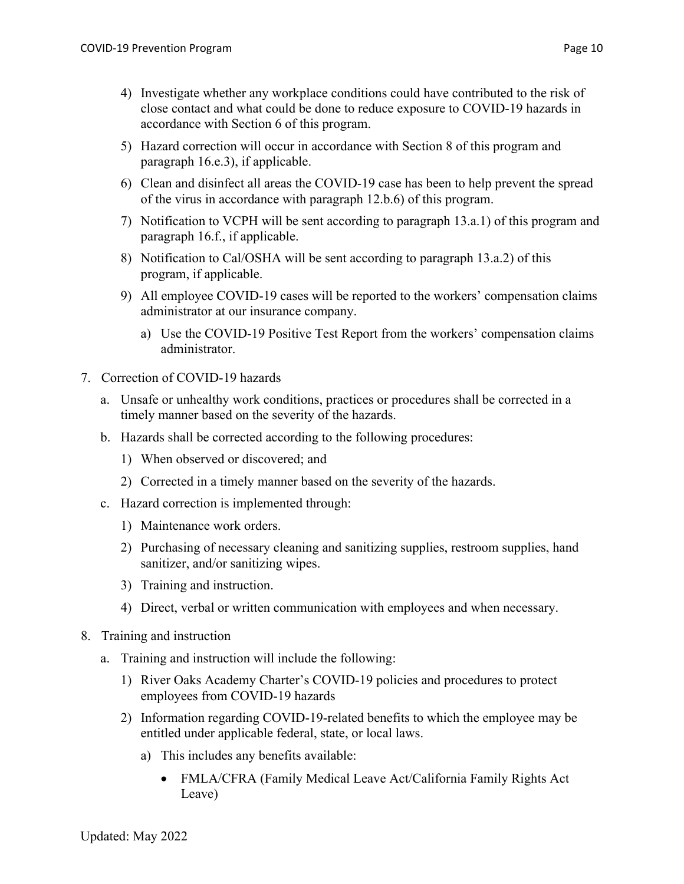- 4) Investigate whether any workplace conditions could have contributed to the risk of close contact and what could be done to reduce exposure to COVID-19 hazards in accordance with Section 6 of this program.
- 5) Hazard correction will occur in accordance with Section 8 of this program and paragraph 16.e.3), if applicable.
- 6) Clean and disinfect all areas the COVID-19 case has been to help prevent the spread of the virus in accordance with paragraph 12.b.6) of this program.
- 7) Notification to VCPH will be sent according to paragraph 13.a.1) of this program and paragraph 16.f., if applicable.
- 8) Notification to Cal/OSHA will be sent according to paragraph 13.a.2) of this program, if applicable.
- 9) All employee COVID-19 cases will be reported to the workers' compensation claims administrator at our insurance company.
	- a) Use the COVID-19 Positive Test Report from the workers' compensation claims administrator.
- 7. Correction of COVID-19 hazards
	- a. Unsafe or unhealthy work conditions, practices or procedures shall be corrected in a timely manner based on the severity of the hazards.
	- b. Hazards shall be corrected according to the following procedures:
		- 1) When observed or discovered; and
		- 2) Corrected in a timely manner based on the severity of the hazards.
	- c. Hazard correction is implemented through:
		- 1) Maintenance work orders.
		- 2) Purchasing of necessary cleaning and sanitizing supplies, restroom supplies, hand sanitizer, and/or sanitizing wipes.
		- 3) Training and instruction.
		- 4) Direct, verbal or written communication with employees and when necessary.
- 8. Training and instruction
	- a. Training and instruction will include the following:
		- 1) River Oaks Academy Charter's COVID-19 policies and procedures to protect employees from COVID-19 hazards
		- 2) Information regarding COVID-19-related benefits to which the employee may be entitled under applicable federal, state, or local laws.
			- a) This includes any benefits available:
				- FMLA/CFRA (Family Medical Leave Act/California Family Rights Act) Leave)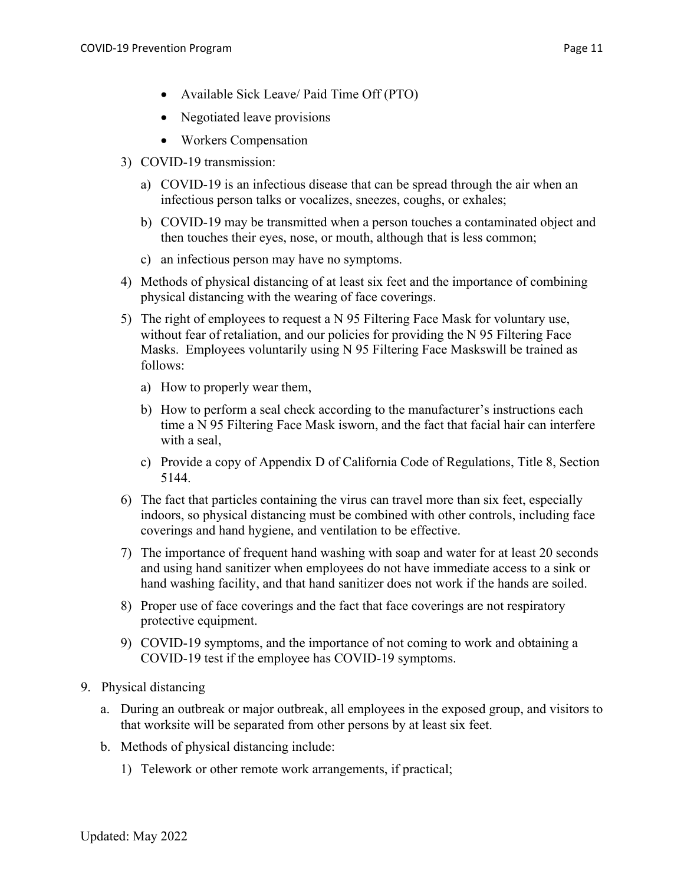- Available Sick Leave/ Paid Time Off (PTO)
- Negotiated leave provisions
- Workers Compensation
- 3) COVID-19 transmission:
	- a) COVID-19 is an infectious disease that can be spread through the air when an infectious person talks or vocalizes, sneezes, coughs, or exhales;
	- b) COVID-19 may be transmitted when a person touches a contaminated object and then touches their eyes, nose, or mouth, although that is less common;
	- c) an infectious person may have no symptoms.
- 4) Methods of physical distancing of at least six feet and the importance of combining physical distancing with the wearing of face coverings.
- 5) The right of employees to request a N 95 Filtering Face Mask for voluntary use, without fear of retaliation, and our policies for providing the N 95 Filtering Face Masks. Employees voluntarily using N 95 Filtering Face Maskswill be trained as follows:
	- a) How to properly wear them,
	- b) How to perform a seal check according to the manufacturer's instructions each time a N 95 Filtering Face Mask isworn, and the fact that facial hair can interfere with a seal,
	- c) Provide a copy of Appendix D of California Code of Regulations, Title 8, Section 5144.
- 6) The fact that particles containing the virus can travel more than six feet, especially indoors, so physical distancing must be combined with other controls, including face coverings and hand hygiene, and ventilation to be effective.
- 7) The importance of frequent hand washing with soap and water for at least 20 seconds and using hand sanitizer when employees do not have immediate access to a sink or hand washing facility, and that hand sanitizer does not work if the hands are soiled.
- 8) Proper use of face coverings and the fact that face coverings are not respiratory protective equipment.
- 9) COVID-19 symptoms, and the importance of not coming to work and obtaining a COVID-19 test if the employee has COVID-19 symptoms.
- 9. Physical distancing
	- a. During an outbreak or major outbreak, all employees in the exposed group, and visitors to that worksite will be separated from other persons by at least six feet.
	- b. Methods of physical distancing include:
		- 1) Telework or other remote work arrangements, if practical;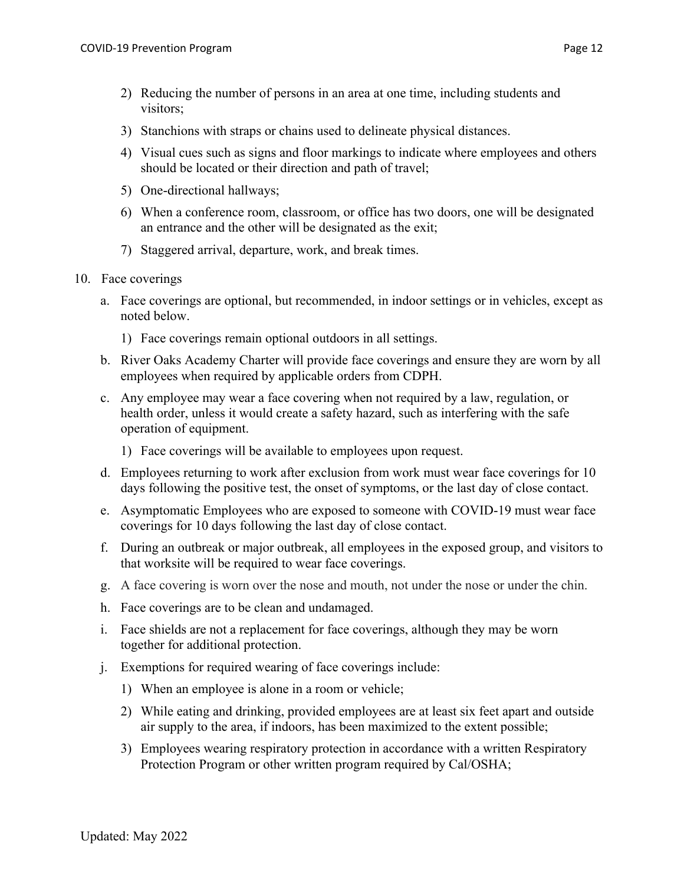- 3) Stanchions with straps or chains used to delineate physical distances.
- 4) Visual cues such as signs and floor markings to indicate where employees and others should be located or their direction and path of travel;
- 5) One-directional hallways;
- 6) When a conference room, classroom, or office has two doors, one will be designated an entrance and the other will be designated as the exit;
- 7) Staggered arrival, departure, work, and break times.
- 10. Face coverings
	- a. Face coverings are optional, but recommended, in indoor settings or in vehicles, except as noted below.
		- 1) Face coverings remain optional outdoors in all settings.
	- b. River Oaks Academy Charter will provide face coverings and ensure they are worn by all employees when required by applicable orders from CDPH.
	- c. Any employee may wear a face covering when not required by a law, regulation, or health order, unless it would create a safety hazard, such as interfering with the safe operation of equipment.
		- 1) Face coverings will be available to employees upon request.
	- d. Employees returning to work after exclusion from work must wear face coverings for 10 days following the positive test, the onset of symptoms, or the last day of close contact.
	- e. Asymptomatic Employees who are exposed to someone with COVID-19 must wear face coverings for 10 days following the last day of close contact.
	- f. During an outbreak or major outbreak, all employees in the exposed group, and visitors to that worksite will be required to wear face coverings.
	- g. A face covering is worn over the nose and mouth, not under the nose or under the chin.
	- h. Face coverings are to be clean and undamaged.
	- i. Face shields are not a replacement for face coverings, although they may be worn together for additional protection.
	- j. Exemptions for required wearing of face coverings include:
		- 1) When an employee is alone in a room or vehicle;
		- 2) While eating and drinking, provided employees are at least six feet apart and outside air supply to the area, if indoors, has been maximized to the extent possible;
		- 3) Employees wearing respiratory protection in accordance with a written Respiratory Protection Program or other written program required by Cal/OSHA;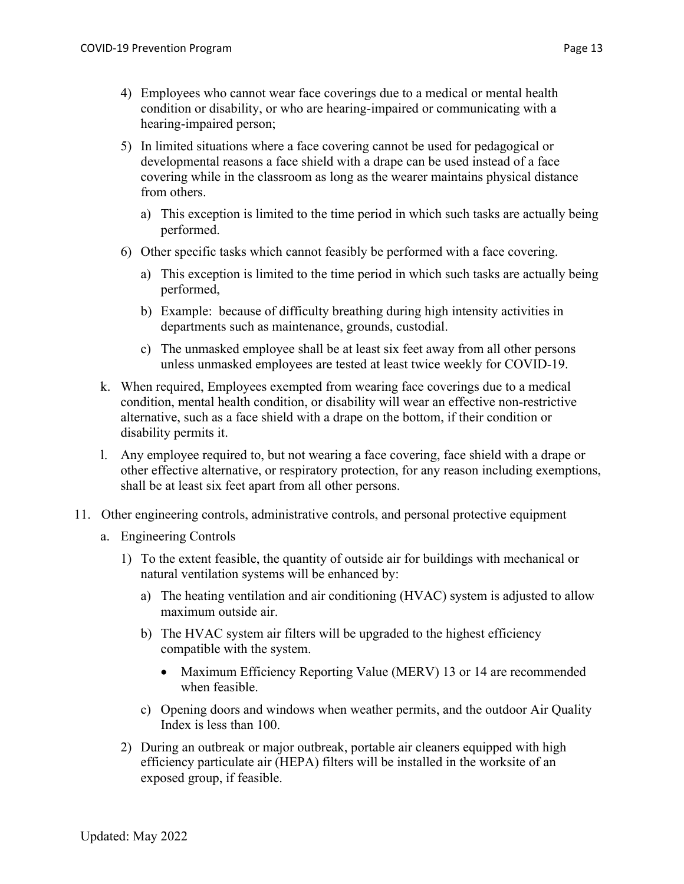- 4) Employees who cannot wear face coverings due to a medical or mental health condition or disability, or who are hearing-impaired or communicating with a hearing-impaired person;
- 5) In limited situations where a face covering cannot be used for pedagogical or developmental reasons a face shield with a drape can be used instead of a face covering while in the classroom as long as the wearer maintains physical distance from others.
	- a) This exception is limited to the time period in which such tasks are actually being performed.
- 6) Other specific tasks which cannot feasibly be performed with a face covering.
	- a) This exception is limited to the time period in which such tasks are actually being performed,
	- b) Example: because of difficulty breathing during high intensity activities in departments such as maintenance, grounds, custodial.
	- c) The unmasked employee shall be at least six feet away from all other persons unless unmasked employees are tested at least twice weekly for COVID-19.
- k. When required, Employees exempted from wearing face coverings due to a medical condition, mental health condition, or disability will wear an effective non-restrictive alternative, such as a face shield with a drape on the bottom, if their condition or disability permits it.
- l. Any employee required to, but not wearing a face covering, face shield with a drape or other effective alternative, or respiratory protection, for any reason including exemptions, shall be at least six feet apart from all other persons.
- 11. Other engineering controls, administrative controls, and personal protective equipment
	- a. Engineering Controls
		- 1) To the extent feasible, the quantity of outside air for buildings with mechanical or natural ventilation systems will be enhanced by:
			- a) The heating ventilation and air conditioning (HVAC) system is adjusted to allow maximum outside air.
			- b) The HVAC system air filters will be upgraded to the highest efficiency compatible with the system.
				- Maximum Efficiency Reporting Value (MERV) 13 or 14 are recommended when feasible.
			- c) Opening doors and windows when weather permits, and the outdoor Air Quality Index is less than 100.
		- 2) During an outbreak or major outbreak, portable air cleaners equipped with high efficiency particulate air (HEPA) filters will be installed in the worksite of an exposed group, if feasible.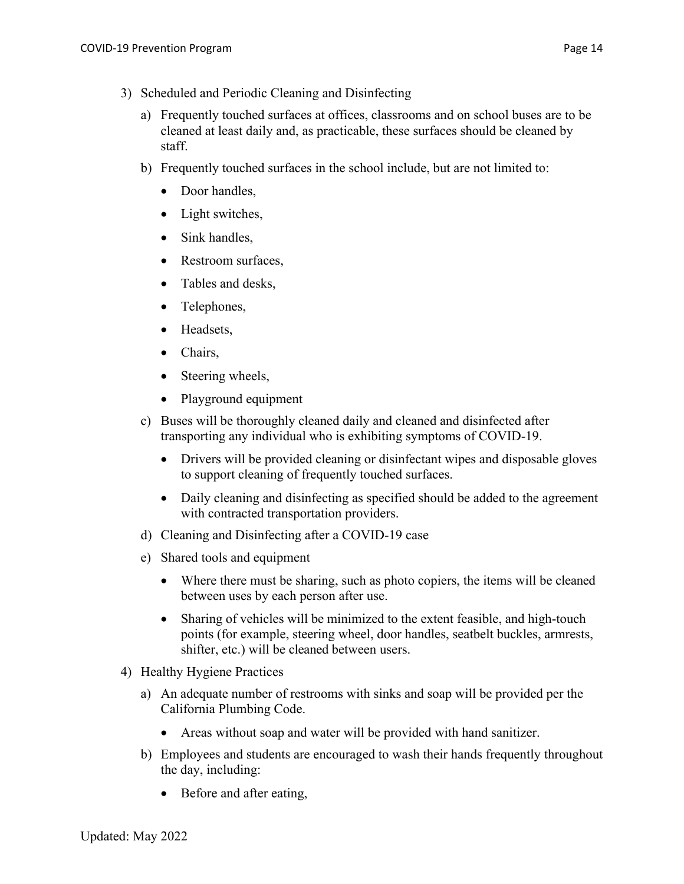- 3) Scheduled and Periodic Cleaning and Disinfecting
	- a) Frequently touched surfaces at offices, classrooms and on school buses are to be cleaned at least daily and, as practicable, these surfaces should be cleaned by staff.
	- b) Frequently touched surfaces in the school include, but are not limited to:
		- Door handles,
		- Light switches,
		- Sink handles,
		- Restroom surfaces,
		- Tables and desks,
		- Telephones,
		- Headsets,
		- Chairs,
		- Steering wheels,
		- Playground equipment
	- c) Buses will be thoroughly cleaned daily and cleaned and disinfected after transporting any individual who is exhibiting symptoms of COVID-19.
		- Drivers will be provided cleaning or disinfectant wipes and disposable gloves to support cleaning of frequently touched surfaces.
		- Daily cleaning and disinfecting as specified should be added to the agreement with contracted transportation providers.
	- d) Cleaning and Disinfecting after a COVID-19 case
	- e) Shared tools and equipment
		- Where there must be sharing, such as photo copiers, the items will be cleaned between uses by each person after use.
		- Sharing of vehicles will be minimized to the extent feasible, and high-touch points (for example, steering wheel, door handles, seatbelt buckles, armrests, shifter, etc.) will be cleaned between users.
- 4) Healthy Hygiene Practices
	- a) An adequate number of restrooms with sinks and soap will be provided per the California Plumbing Code.
		- Areas without soap and water will be provided with hand sanitizer.
	- b) Employees and students are encouraged to wash their hands frequently throughout the day, including:
		- Before and after eating,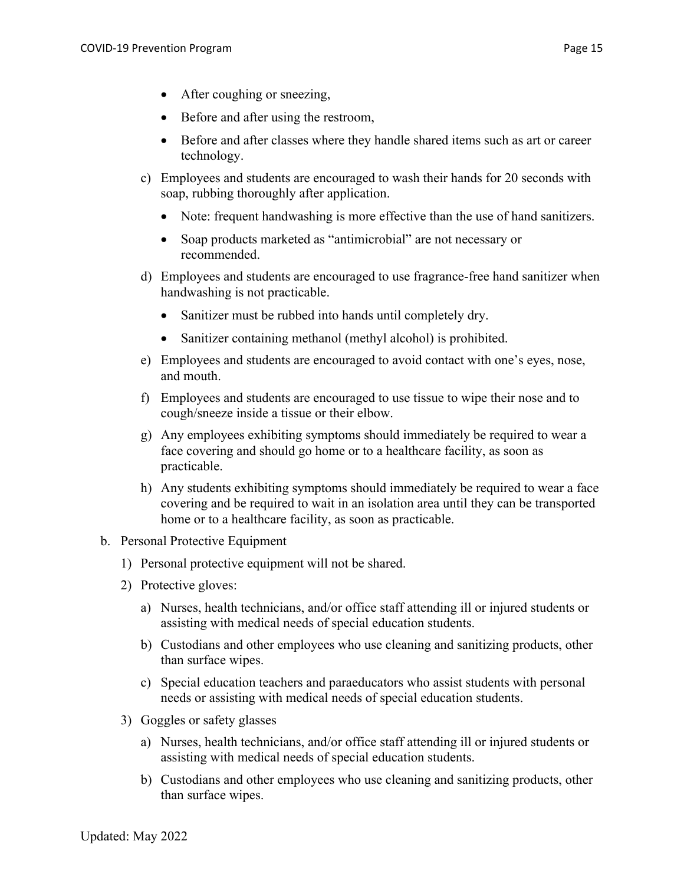- After coughing or sneezing,
- Before and after using the restroom,
- Before and after classes where they handle shared items such as art or career technology.
- c) Employees and students are encouraged to wash their hands for 20 seconds with soap, rubbing thoroughly after application.
	- Note: frequent handwashing is more effective than the use of hand sanitizers.
	- Soap products marketed as "antimicrobial" are not necessary or recommended.
- d) Employees and students are encouraged to use fragrance-free hand sanitizer when handwashing is not practicable.
	- Sanitizer must be rubbed into hands until completely dry.
	- Sanitizer containing methanol (methyl alcohol) is prohibited.
- e) Employees and students are encouraged to avoid contact with one's eyes, nose, and mouth.
- f) Employees and students are encouraged to use tissue to wipe their nose and to cough/sneeze inside a tissue or their elbow.
- g) Any employees exhibiting symptoms should immediately be required to wear a face covering and should go home or to a healthcare facility, as soon as practicable.
- h) Any students exhibiting symptoms should immediately be required to wear a face covering and be required to wait in an isolation area until they can be transported home or to a healthcare facility, as soon as practicable.
- b. Personal Protective Equipment
	- 1) Personal protective equipment will not be shared.
	- 2) Protective gloves:
		- a) Nurses, health technicians, and/or office staff attending ill or injured students or assisting with medical needs of special education students.
		- b) Custodians and other employees who use cleaning and sanitizing products, other than surface wipes.
		- c) Special education teachers and paraeducators who assist students with personal needs or assisting with medical needs of special education students.
	- 3) Goggles or safety glasses
		- a) Nurses, health technicians, and/or office staff attending ill or injured students or assisting with medical needs of special education students.
		- b) Custodians and other employees who use cleaning and sanitizing products, other than surface wipes.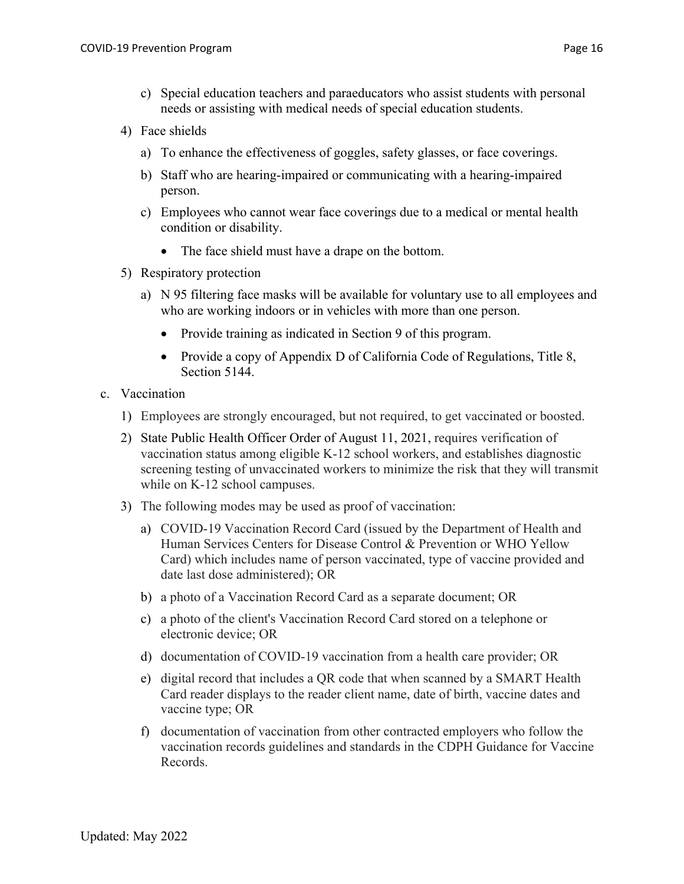- c) Special education teachers and paraeducators who assist students with personal needs or assisting with medical needs of special education students.
- 4) Face shields
	- a) To enhance the effectiveness of goggles, safety glasses, or face coverings.
	- b) Staff who are hearing-impaired or communicating with a hearing-impaired person.
	- c) Employees who cannot wear face coverings due to a medical or mental health condition or disability.
		- The face shield must have a drape on the bottom.
- 5) Respiratory protection
	- a) N 95 filtering face masks will be available for voluntary use to all employees and who are working indoors or in vehicles with more than one person.
		- Provide training as indicated in Section 9 of this program.
		- Provide a copy of Appendix D of California Code of Regulations, Title 8, Section 5144.
- c. Vaccination
	- 1) Employees are strongly encouraged, but not required, to get vaccinated or boosted.
	- 2) State Public Health Officer Order of August 11, 2021, requires verification of vaccination status among eligible K-12 school workers, and establishes diagnostic screening testing of unvaccinated workers to minimize the risk that they will transmit while on K-12 school campuses.
	- 3) The following modes may be used as proof of vaccination:
		- a) COVID-19 Vaccination Record Card (issued by the Department of Health and Human Services Centers for Disease Control & Prevention or WHO Yellow Card) which includes name of person vaccinated, type of vaccine provided and date last dose administered); OR
		- b) a photo of a Vaccination Record Card as a separate document; OR
		- c) a photo of the client's Vaccination Record Card stored on a telephone or electronic device; OR
		- d) documentation of COVID-19 vaccination from a health care provider; OR
		- e) digital record that includes a QR code that when scanned by a SMART Health Card reader displays to the reader client name, date of birth, vaccine dates and vaccine type; OR
		- f) documentation of vaccination from other contracted employers who follow the vaccination records guidelines and standards in the CDPH Guidance for Vaccine Records.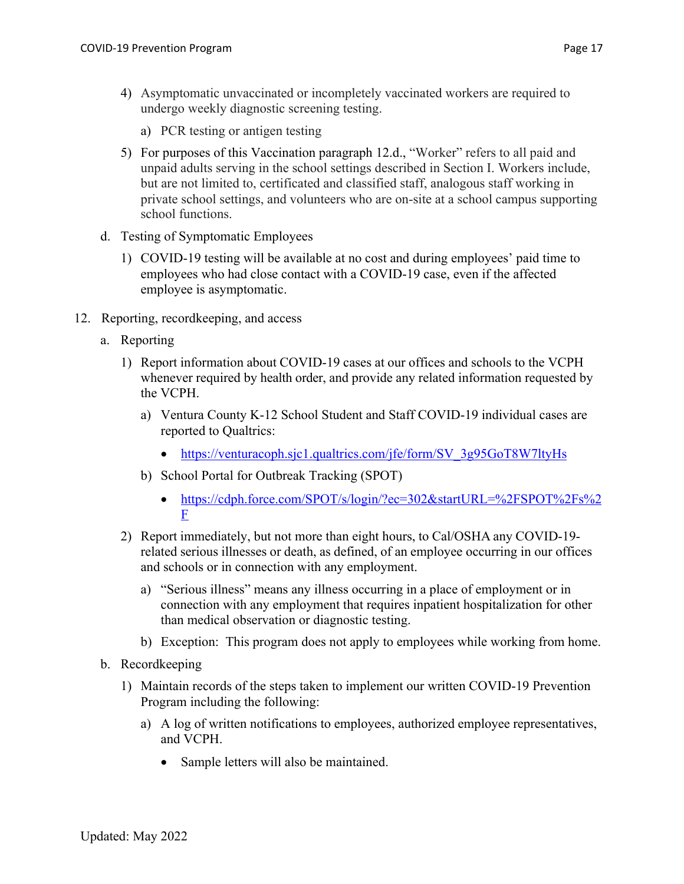- 4) Asymptomatic unvaccinated or incompletely vaccinated workers are required to undergo weekly diagnostic screening testing.
	- a) PCR testing or antigen testing
- 5) For purposes of this Vaccination paragraph 12.d., "Worker" refers to all paid and unpaid adults serving in the school settings described in Section I. Workers include, but are not limited to, certificated and classified staff, analogous staff working in private school settings, and volunteers who are on-site at a school campus supporting school functions.
- d. Testing of Symptomatic Employees
	- 1) COVID-19 testing will be available at no cost and during employees' paid time to employees who had close contact with a COVID-19 case, even if the affected employee is asymptomatic.
- 12. Reporting, recordkeeping, and access
	- a. Reporting
		- 1) Report information about COVID-19 cases at our offices and schools to the VCPH whenever required by health order, and provide any related information requested by the VCPH.
			- a) Ventura County K-12 School Student and Staff COVID-19 individual cases are reported to Qualtrics:
				- https://venturacoph.sjc1.qualtrics.com/jfe/form/SV\_3g95GoT8W7ltyHs
			- b) School Portal for Outbreak Tracking (SPOT)
				- https://cdph.force.com/SPOT/s/login/?ec=302&startURL=%2FSPOT%2Fs%2 F
		- 2) Report immediately, but not more than eight hours, to Cal/OSHA any COVID-19 related serious illnesses or death, as defined, of an employee occurring in our offices and schools or in connection with any employment.
			- a) "Serious illness" means any illness occurring in a place of employment or in connection with any employment that requires inpatient hospitalization for other than medical observation or diagnostic testing.
			- b) Exception: This program does not apply to employees while working from home.
	- b. Recordkeeping
		- 1) Maintain records of the steps taken to implement our written COVID-19 Prevention Program including the following:
			- a) A log of written notifications to employees, authorized employee representatives, and VCPH.
				- Sample letters will also be maintained.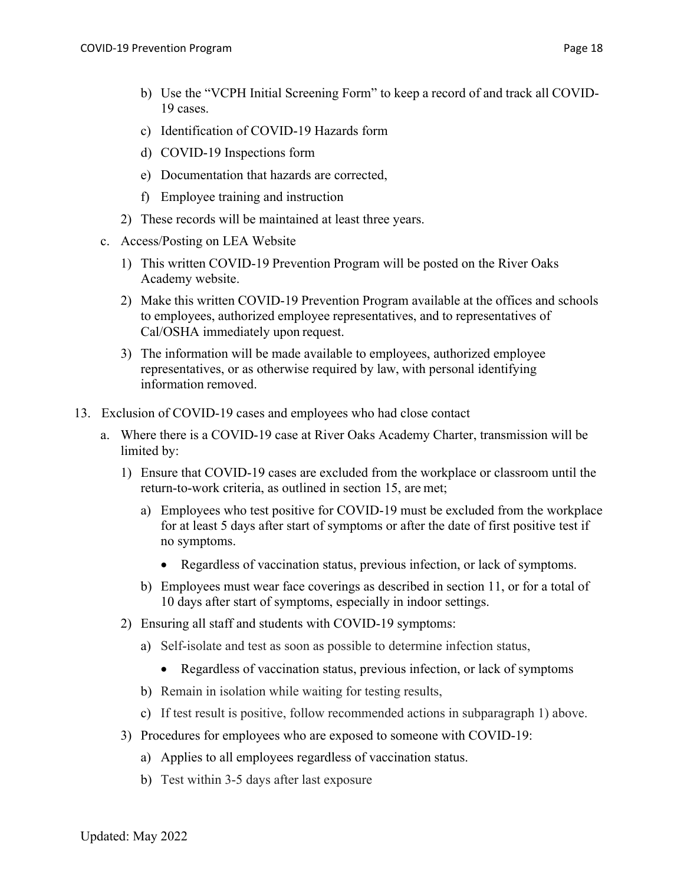- b) Use the "VCPH Initial Screening Form" to keep a record of and track all COVID-19 cases.
- c) Identification of COVID-19 Hazards form
- d) COVID-19 Inspections form
- e) Documentation that hazards are corrected,
- f) Employee training and instruction
- 2) These records will be maintained at least three years.
- c. Access/Posting on LEA Website
	- 1) This written COVID-19 Prevention Program will be posted on the River Oaks Academy website.
	- 2) Make this written COVID-19 Prevention Program available at the offices and schools to employees, authorized employee representatives, and to representatives of Cal/OSHA immediately upon request.
	- 3) The information will be made available to employees, authorized employee representatives, or as otherwise required by law, with personal identifying information removed.
- 13. Exclusion of COVID-19 cases and employees who had close contact
	- a. Where there is a COVID-19 case at River Oaks Academy Charter, transmission will be limited by:
		- 1) Ensure that COVID-19 cases are excluded from the workplace or classroom until the return-to-work criteria, as outlined in section 15, are met;
			- a) Employees who test positive for COVID-19 must be excluded from the workplace for at least 5 days after start of symptoms or after the date of first positive test if no symptoms.
				- Regardless of vaccination status, previous infection, or lack of symptoms.
			- b) Employees must wear face coverings as described in section 11, or for a total of 10 days after start of symptoms, especially in indoor settings.
		- 2) Ensuring all staff and students with COVID-19 symptoms:
			- a) Self-isolate and test as soon as possible to determine infection status,
				- Regardless of vaccination status, previous infection, or lack of symptoms
			- b) Remain in isolation while waiting for testing results,
			- c) If test result is positive, follow recommended actions in subparagraph 1) above.
		- 3) Procedures for employees who are exposed to someone with COVID-19:
			- a) Applies to all employees regardless of vaccination status.
			- b) Test within 3-5 days after last exposure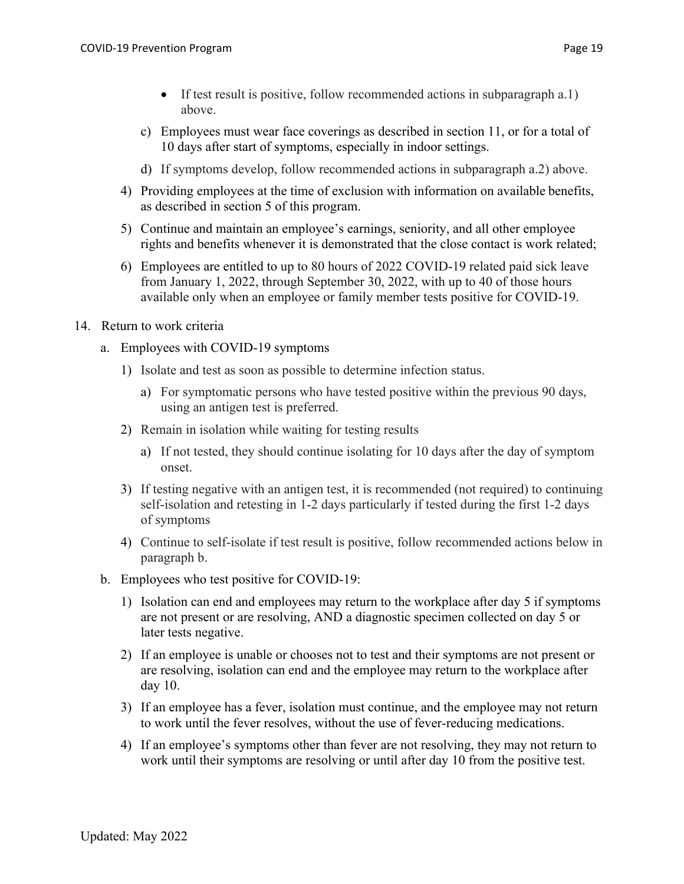- If test result is positive, follow recommended actions in subparagraph a.1) above.
- c) Employees must wear face coverings as described in section 11, or for a total of 10 days after start of symptoms, especially in indoor settings.
- d) If symptoms develop, follow recommended actions in subparagraph a.2) above.
- 4) Providing employees at the time of exclusion with information on available benefits, as described in section 5 of this program.
- 5) Continue and maintain an employee's earnings, seniority, and all other employee rights and benefits whenever it is demonstrated that the close contact is work related;
- 6) Employees are entitled to up to 80 hours of 2022 COVID-19 related paid sick leave from January 1, 2022, through September 30, 2022, with up to 40 of those hours available only when an employee or family member tests positive for COVID-19.
- 14. Return to work criteria
	- a. Employees with COVID-19 symptoms
		- 1) Isolate and test as soon as possible to determine infection status.
			- a) For symptomatic persons who have tested positive within the previous 90 days, using an antigen test is preferred.
		- 2) Remain in isolation while waiting for testing results
			- a) If not tested, they should continue isolating for 10 days after the day of symptom onset.
		- 3) If testing negative with an antigen test, it is recommended (not required) to continuing self-isolation and retesting in 1-2 days particularly if tested during the first 1-2 days of symptoms
		- 4) Continue to self-isolate if test result is positive, follow recommended actions below in paragraph b.
	- b. Employees who test positive for COVID-19:
		- 1) Isolation can end and employees may return to the workplace after day 5 if symptoms are not present or are resolving, AND a diagnostic specimen collected on day 5 or later tests negative.
		- 2) If an employee is unable or chooses not to test and their symptoms are not present or are resolving, isolation can end and the employee may return to the workplace after day 10.
		- 3) If an employee has a fever, isolation must continue, and the employee may not return to work until the fever resolves, without the use of fever-reducing medications.
		- 4) If an employee's symptoms other than fever are not resolving, they may not return to work until their symptoms are resolving or until after day 10 from the positive test.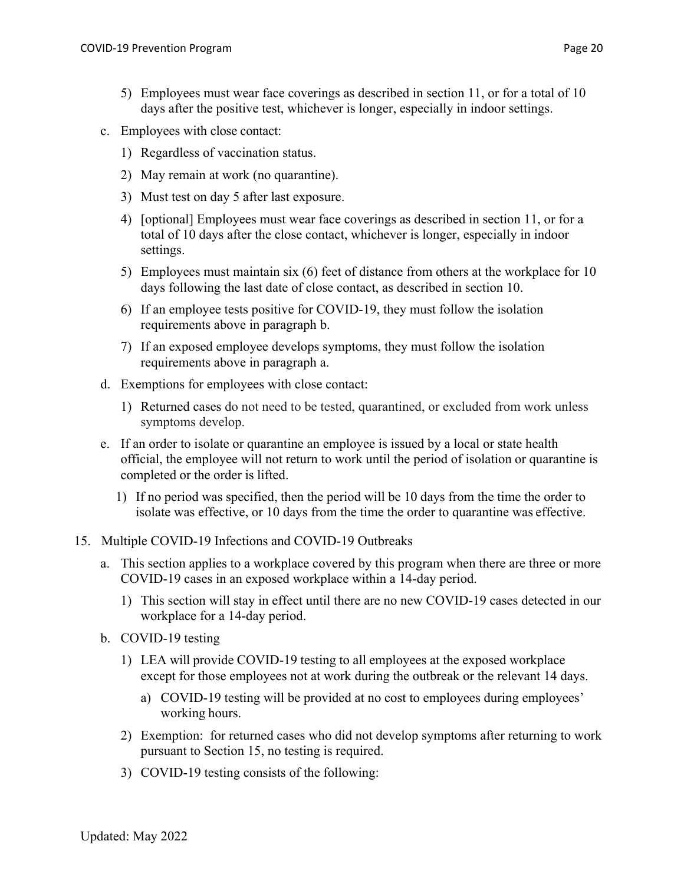- c. Employees with close contact:
	- 1) Regardless of vaccination status.
	- 2) May remain at work (no quarantine).
	- 3) Must test on day 5 after last exposure.
	- 4) [optional] Employees must wear face coverings as described in section 11, or for a total of 10 days after the close contact, whichever is longer, especially in indoor settings.
	- 5) Employees must maintain six (6) feet of distance from others at the workplace for 10 days following the last date of close contact, as described in section 10.
	- 6) If an employee tests positive for COVID-19, they must follow the isolation requirements above in paragraph b.
	- 7) If an exposed employee develops symptoms, they must follow the isolation requirements above in paragraph a.
- d. Exemptions for employees with close contact:
	- 1) Returned cases do not need to be tested, quarantined, or excluded from work unless symptoms develop.
- e. If an order to isolate or quarantine an employee is issued by a local or state health official, the employee will not return to work until the period of isolation or quarantine is completed or the order is lifted.
	- 1) If no period was specified, then the period will be 10 days from the time the order to isolate was effective, or 10 days from the time the order to quarantine was effective.
- 15. Multiple COVID-19 Infections and COVID-19 Outbreaks
	- a. This section applies to a workplace covered by this program when there are three or more COVID-19 cases in an exposed workplace within a 14-day period.
		- 1) This section will stay in effect until there are no new COVID-19 cases detected in our workplace for a 14-day period.
	- b. COVID-19 testing
		- 1) LEA will provide COVID-19 testing to all employees at the exposed workplace except for those employees not at work during the outbreak or the relevant 14 days.
			- a) COVID-19 testing will be provided at no cost to employees during employees' working hours.
		- 2) Exemption: for returned cases who did not develop symptoms after returning to work pursuant to Section 15, no testing is required.
		- 3) COVID-19 testing consists of the following: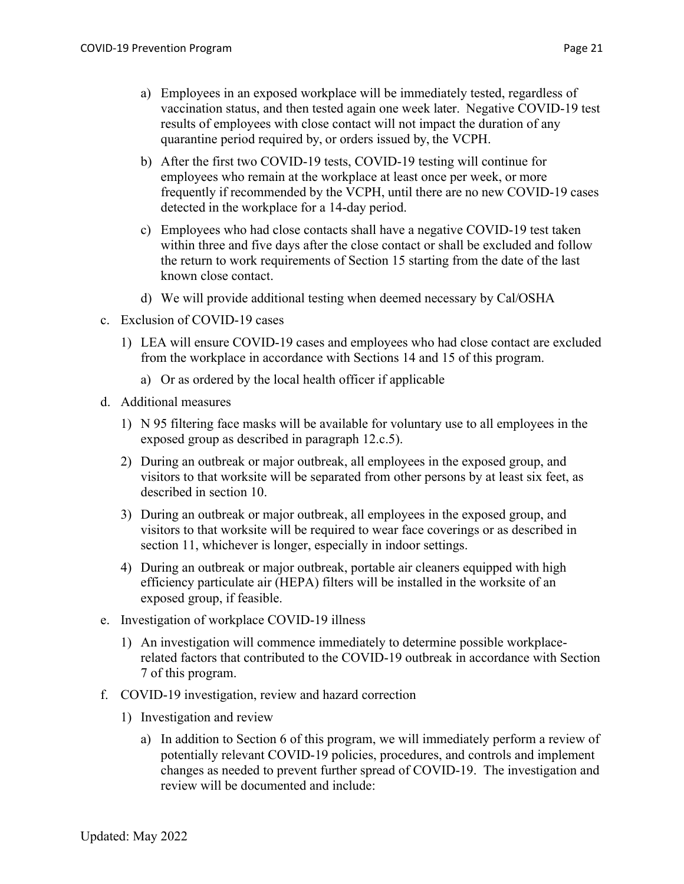- a) Employees in an exposed workplace will be immediately tested, regardless of vaccination status, and then tested again one week later. Negative COVID-19 test results of employees with close contact will not impact the duration of any quarantine period required by, or orders issued by, the VCPH.
- b) After the first two COVID-19 tests, COVID-19 testing will continue for employees who remain at the workplace at least once per week, or more frequently if recommended by the VCPH, until there are no new COVID-19 cases detected in the workplace for a 14-day period.
- c) Employees who had close contacts shall have a negative COVID-19 test taken within three and five days after the close contact or shall be excluded and follow the return to work requirements of Section 15 starting from the date of the last known close contact.
- d) We will provide additional testing when deemed necessary by Cal/OSHA
- c. Exclusion of COVID-19 cases
	- 1) LEA will ensure COVID-19 cases and employees who had close contact are excluded from the workplace in accordance with Sections 14 and 15 of this program.
		- a) Or as ordered by the local health officer if applicable
- d. Additional measures
	- 1) N 95 filtering face masks will be available for voluntary use to all employees in the exposed group as described in paragraph 12.c.5).
	- 2) During an outbreak or major outbreak, all employees in the exposed group, and visitors to that worksite will be separated from other persons by at least six feet, as described in section 10.
	- 3) During an outbreak or major outbreak, all employees in the exposed group, and visitors to that worksite will be required to wear face coverings or as described in section 11, whichever is longer, especially in indoor settings.
	- 4) During an outbreak or major outbreak, portable air cleaners equipped with high efficiency particulate air (HEPA) filters will be installed in the worksite of an exposed group, if feasible.
- e. Investigation of workplace COVID-19 illness
	- 1) An investigation will commence immediately to determine possible workplacerelated factors that contributed to the COVID-19 outbreak in accordance with Section 7 of this program.
- f. COVID-19 investigation, review and hazard correction
	- 1) Investigation and review
		- a) In addition to Section 6 of this program, we will immediately perform a review of potentially relevant COVID-19 policies, procedures, and controls and implement changes as needed to prevent further spread of COVID-19. The investigation and review will be documented and include: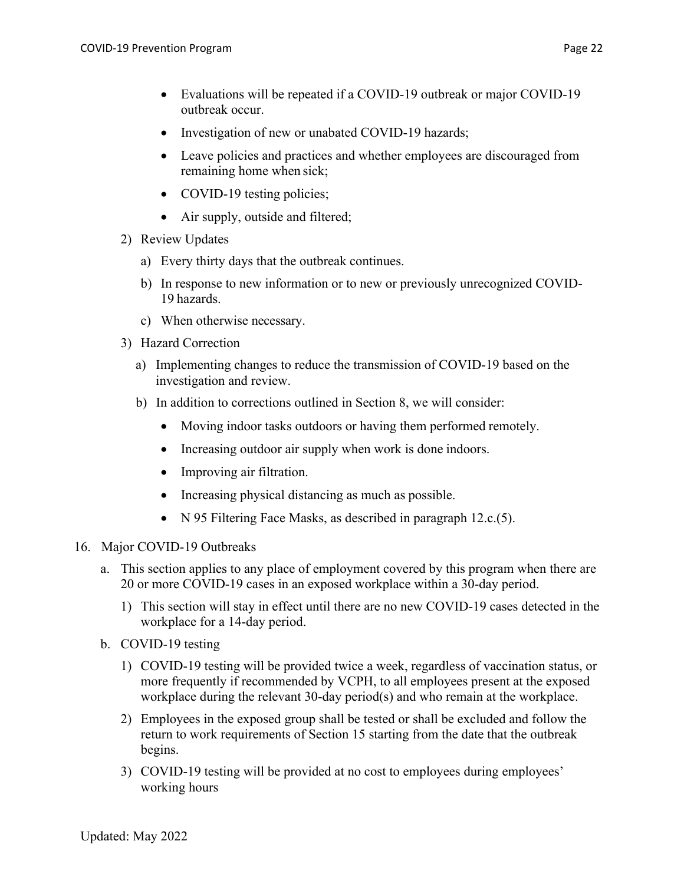- Evaluations will be repeated if a COVID-19 outbreak or major COVID-19 outbreak occur.
- Investigation of new or unabated COVID-19 hazards;
- Leave policies and practices and whether employees are discouraged from remaining home when sick;
- COVID-19 testing policies;
- Air supply, outside and filtered;
- 2) Review Updates
	- a) Every thirty days that the outbreak continues.
	- b) In response to new information or to new or previously unrecognized COVID-19 hazards.
	- c) When otherwise necessary.
- 3) Hazard Correction
	- a) Implementing changes to reduce the transmission of COVID-19 based on the investigation and review.
	- b) In addition to corrections outlined in Section 8, we will consider:
		- Moving indoor tasks outdoors or having them performed remotely.
		- Increasing outdoor air supply when work is done indoors.
		- Improving air filtration.
		- Increasing physical distancing as much as possible.
		- N 95 Filtering Face Masks, as described in paragraph 12.c.(5).

## 16. Major COVID-19 Outbreaks

- a. This section applies to any place of employment covered by this program when there are 20 or more COVID-19 cases in an exposed workplace within a 30-day period.
	- 1) This section will stay in effect until there are no new COVID-19 cases detected in the workplace for a 14-day period.
- b. COVID-19 testing
	- 1) COVID-19 testing will be provided twice a week, regardless of vaccination status, or more frequently if recommended by VCPH, to all employees present at the exposed workplace during the relevant 30-day period(s) and who remain at the workplace.
	- 2) Employees in the exposed group shall be tested or shall be excluded and follow the return to work requirements of Section 15 starting from the date that the outbreak begins.
	- 3) COVID-19 testing will be provided at no cost to employees during employees' working hours